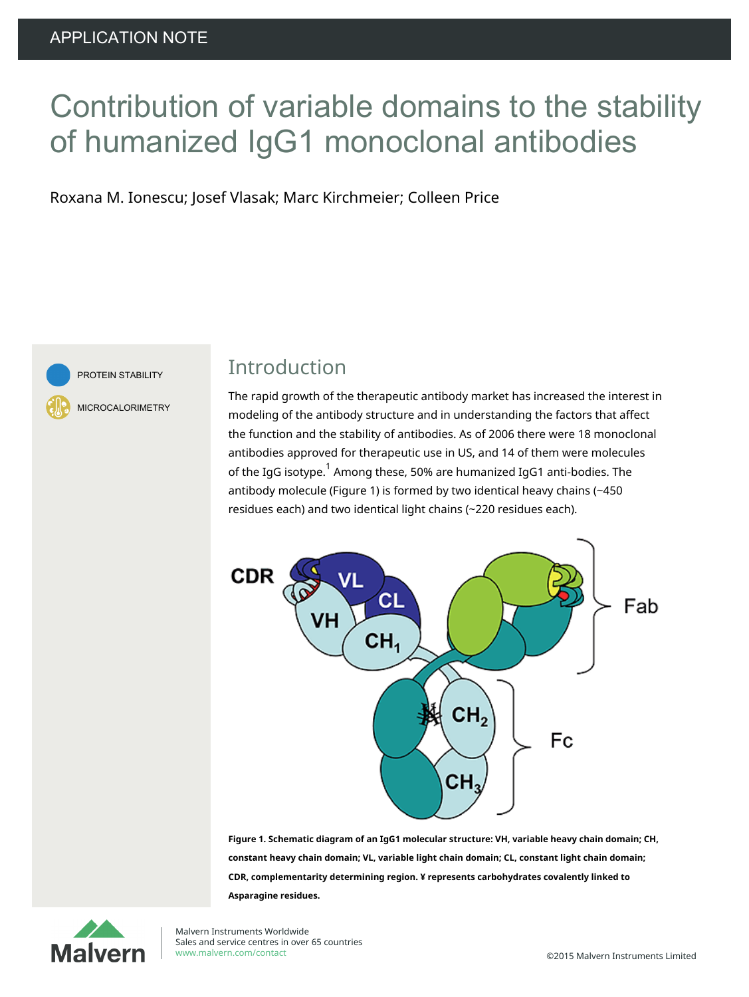# Contribution of variable domains to the stability of humanized IgG1 monoclonal antibodies

Roxana M. Ionescu; Josef Vlasak; Marc Kirchmeier; Colleen Price



PROTEIN STABILITY

MICROCALORIMETRY

### Introduction

The rapid growth of the therapeutic antibody market has increased the interest in modeling of the antibody structure and in understanding the factors that affect the function and the stability of antibodies. As of 2006 there were 18 monoclonal antibodies approved for therapeutic use in US, and 14 of them were molecules of the IgG isotype.<sup>1</sup> Among these, 50% are humanized IgG1 anti-bodies. The antibody molecule (Figure 1) is formed by two identical heavy chains (~450 residues each) and two identical light chains (~220 residues each).



**Figure 1. Schematic diagram of an IgG1 molecular structure: VH, variable heavy chain domain; CH, constant heavy chain domain; VL, variable light chain domain; CL, constant light chain domain; CDR, complementarity determining region. ¥ represents carbohydrates covalently linked to Asparagine residues.**



Malvern Instruments Worldwide Sales and service centres in over 65 countries <www.malvern.com/contact> **Example 2016** Malvern Instruments Limited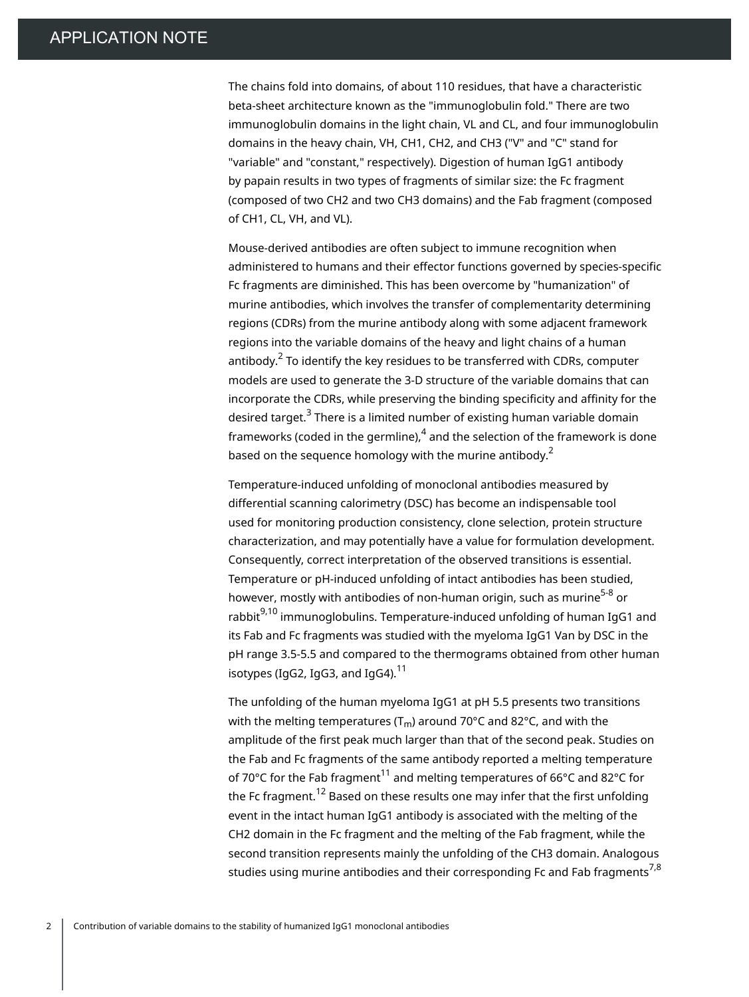The chains fold into domains, of about 110 residues, that have a characteristic beta-sheet architecture known as the "immunoglobulin fold." There are two immunoglobulin domains in the light chain, VL and CL, and four immunoglobulin domains in the heavy chain, VH, CH1, CH2, and CH3 ("V" and "C" stand for "variable" and "constant," respectively). Digestion of human IgG1 antibody by papain results in two types of fragments of similar size: the Fc fragment (composed of two CH2 and two CH3 domains) and the Fab fragment (composed of CH1, CL, VH, and VL).

Mouse-derived antibodies are often subject to immune recognition when administered to humans and their effector functions governed by species-specific Fc fragments are diminished. This has been overcome by "humanization" of murine antibodies, which involves the transfer of complementarity determining regions (CDRs) from the murine antibody along with some adjacent framework regions into the variable domains of the heavy and light chains of a human antibody. $^{\mathsf{2}}$  To identify the key residues to be transferred with CDRs, computer models are used to generate the 3-D structure of the variable domains that can incorporate the CDRs, while preserving the binding specificity and affinity for the desired target.<sup>3</sup> There is a limited number of existing human variable domain frameworks (coded in the germline), $^{\text{4}}$  and the selection of the framework is done based on the sequence homology with the murine antibody. $^{\text{2}}$ 

Temperature-induced unfolding of monoclonal antibodies measured by differential scanning calorimetry (DSC) has become an indispensable tool used for monitoring production consistency, clone selection, protein structure characterization, and may potentially have a value for formulation development. Consequently, correct interpretation of the observed transitions is essential. Temperature or pH-induced unfolding of intact antibodies has been studied, however, mostly with antibodies of non-human origin, such as murine<sup>5-8</sup> or rabbit<sup>9,10</sup> immunoglobulins. Temperature-induced unfolding of human IgG1 and its Fab and Fc fragments was studied with the myeloma IgG1 Van by DSC in the pH range 3.5-5.5 and compared to the thermograms obtained from other human isotypes (IgG2, IgG3, and IgG4). $^{11}$ 

The unfolding of the human myeloma IgG1 at pH 5.5 presents two transitions with the melting temperatures ( $T_m$ ) around 70°C and 82°C, and with the amplitude of the first peak much larger than that of the second peak. Studies on the Fab and Fc fragments of the same antibody reported a melting temperature of 70°C for the Fab fragment $^{\rm 11}$  and melting temperatures of 66°C and 82°C for the Fc fragment. $^{\rm 12}$  Based on these results one may infer that the first unfolding event in the intact human IgG1 antibody is associated with the melting of the CH2 domain in the Fc fragment and the melting of the Fab fragment, while the second transition represents mainly the unfolding of the CH3 domain. Analogous studies using murine antibodies and their corresponding Fc and Fab fragments $^{7,8}$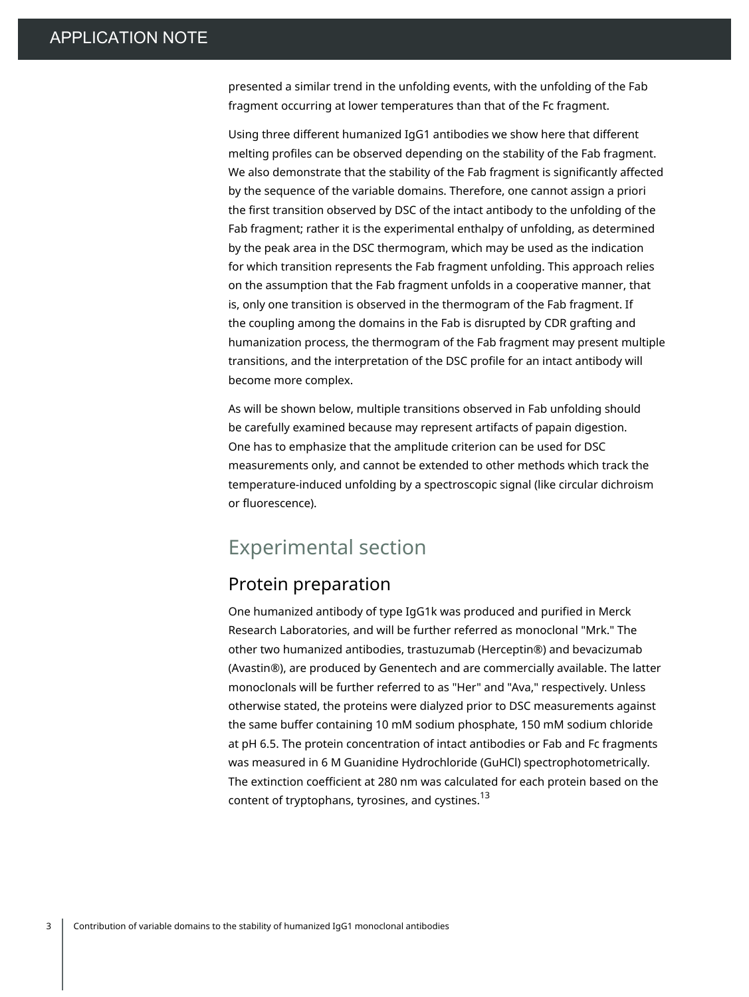presented a similar trend in the unfolding events, with the unfolding of the Fab fragment occurring at lower temperatures than that of the Fc fragment.

Using three different humanized IgG1 antibodies we show here that different melting profiles can be observed depending on the stability of the Fab fragment. We also demonstrate that the stability of the Fab fragment is significantly affected by the sequence of the variable domains. Therefore, one cannot assign a priori the first transition observed by DSC of the intact antibody to the unfolding of the Fab fragment; rather it is the experimental enthalpy of unfolding, as determined by the peak area in the DSC thermogram, which may be used as the indication for which transition represents the Fab fragment unfolding. This approach relies on the assumption that the Fab fragment unfolds in a cooperative manner, that is, only one transition is observed in the thermogram of the Fab fragment. If the coupling among the domains in the Fab is disrupted by CDR grafting and humanization process, the thermogram of the Fab fragment may present multiple transitions, and the interpretation of the DSC profile for an intact antibody will become more complex.

As will be shown below, multiple transitions observed in Fab unfolding should be carefully examined because may represent artifacts of papain digestion. One has to emphasize that the amplitude criterion can be used for DSC measurements only, and cannot be extended to other methods which track the temperature-induced unfolding by a spectroscopic signal (like circular dichroism or fluorescence).

### Experimental section

#### Protein preparation

One humanized antibody of type IgG1k was produced and purified in Merck Research Laboratories, and will be further referred as monoclonal "Mrk." The other two humanized antibodies, trastuzumab (Herceptin®) and bevacizumab (Avastin®), are produced by Genentech and are commercially available. The latter monoclonals will be further referred to as "Her" and "Ava," respectively. Unless otherwise stated, the proteins were dialyzed prior to DSC measurements against the same buffer containing 10 mM sodium phosphate, 150 mM sodium chloride at pH 6.5. The protein concentration of intact antibodies or Fab and Fc fragments was measured in 6 M Guanidine Hydrochloride (GuHCl) spectrophotometrically. The extinction coefficient at 280 nm was calculated for each protein based on the content of tryptophans, tyrosines, and cystines.<sup>13</sup>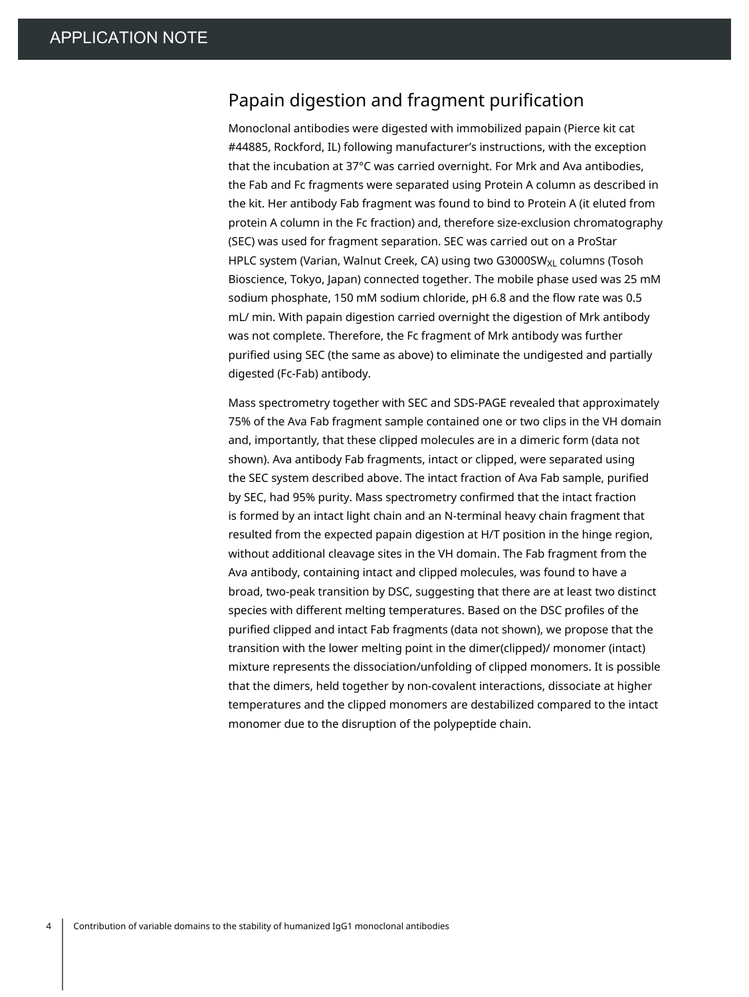### Papain digestion and fragment purification

Monoclonal antibodies were digested with immobilized papain (Pierce kit cat #44885, Rockford, IL) following manufacturer's instructions, with the exception that the incubation at 37°C was carried overnight. For Mrk and Ava antibodies, the Fab and Fc fragments were separated using Protein A column as described in the kit. Her antibody Fab fragment was found to bind to Protein A (it eluted from protein A column in the Fc fraction) and, therefore size-exclusion chromatography (SEC) was used for fragment separation. SEC was carried out on a ProStar HPLC system (Varian, Walnut Creek, CA) using two G3000SW<sub>XL</sub> columns (Tosoh Bioscience, Tokyo, Japan) connected together. The mobile phase used was 25 mM sodium phosphate, 150 mM sodium chloride, pH 6.8 and the flow rate was 0.5 mL/ min. With papain digestion carried overnight the digestion of Mrk antibody was not complete. Therefore, the Fc fragment of Mrk antibody was further purified using SEC (the same as above) to eliminate the undigested and partially digested (Fc-Fab) antibody.

Mass spectrometry together with SEC and SDS-PAGE revealed that approximately 75% of the Ava Fab fragment sample contained one or two clips in the VH domain and, importantly, that these clipped molecules are in a dimeric form (data not shown). Ava antibody Fab fragments, intact or clipped, were separated using the SEC system described above. The intact fraction of Ava Fab sample, purified by SEC, had 95% purity. Mass spectrometry confirmed that the intact fraction is formed by an intact light chain and an N-terminal heavy chain fragment that resulted from the expected papain digestion at H/T position in the hinge region, without additional cleavage sites in the VH domain. The Fab fragment from the Ava antibody, containing intact and clipped molecules, was found to have a broad, two-peak transition by DSC, suggesting that there are at least two distinct species with different melting temperatures. Based on the DSC profiles of the purified clipped and intact Fab fragments (data not shown), we propose that the transition with the lower melting point in the dimer(clipped)/ monomer (intact) mixture represents the dissociation/unfolding of clipped monomers. It is possible that the dimers, held together by non-covalent interactions, dissociate at higher temperatures and the clipped monomers are destabilized compared to the intact monomer due to the disruption of the polypeptide chain.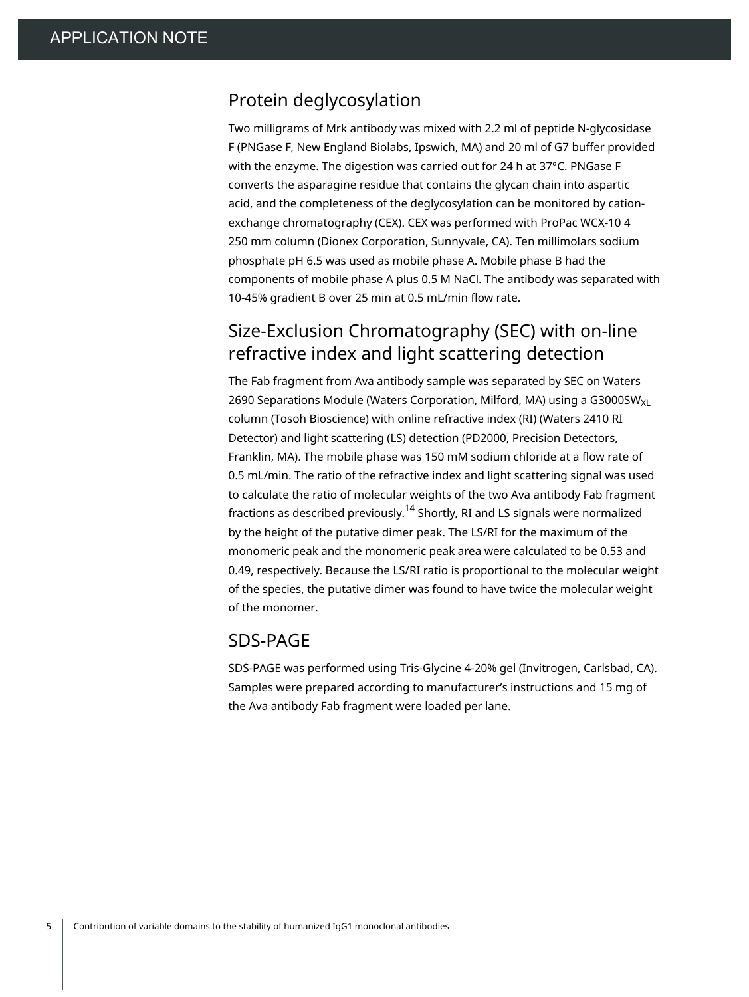#### Protein deglycosylation

Two milligrams of Mrk antibody was mixed with 2.2 ml of peptide N-glycosidase F (PNGase F, New England Biolabs, Ipswich, MA) and 20 ml of G7 buffer provided with the enzyme. The digestion was carried out for 24 h at 37°C. PNGase F converts the asparagine residue that contains the glycan chain into aspartic acid, and the completeness of the deglycosylation can be monitored by cationexchange chromatography (CEX). CEX was performed with ProPac WCX-10 4 250 mm column (Dionex Corporation, Sunnyvale, CA). Ten millimolars sodium phosphate pH 6.5 was used as mobile phase A. Mobile phase B had the components of mobile phase A plus 0.5 M NaCl. The antibody was separated with 10-45% gradient B over 25 min at 0.5 mL/min flow rate.

### Size-Exclusion Chromatography (SEC) with on-line refractive index and light scattering detection

The Fab fragment from Ava antibody sample was separated by SEC on Waters 2690 Separations Module (Waters Corporation, Milford, MA) using a G3000SW $_{XL}$ column (Tosoh Bioscience) with online refractive index (RI) (Waters 2410 RI Detector) and light scattering (LS) detection (PD2000, Precision Detectors, Franklin, MA). The mobile phase was 150 mM sodium chloride at a flow rate of 0.5 mL/min. The ratio of the refractive index and light scattering signal was used to calculate the ratio of molecular weights of the two Ava antibody Fab fragment fractions as described previously.<sup>14</sup> Shortly, RI and LS signals were normalized by the height of the putative dimer peak. The LS/RI for the maximum of the monomeric peak and the monomeric peak area were calculated to be 0.53 and 0.49, respectively. Because the LS/RI ratio is proportional to the molecular weight of the species, the putative dimer was found to have twice the molecular weight of the monomer.

#### SDS-PAGE

SDS-PAGE was performed using Tris-Glycine 4-20% gel (Invitrogen, Carlsbad, CA). Samples were prepared according to manufacturer's instructions and 15 mg of the Ava antibody Fab fragment were loaded per lane.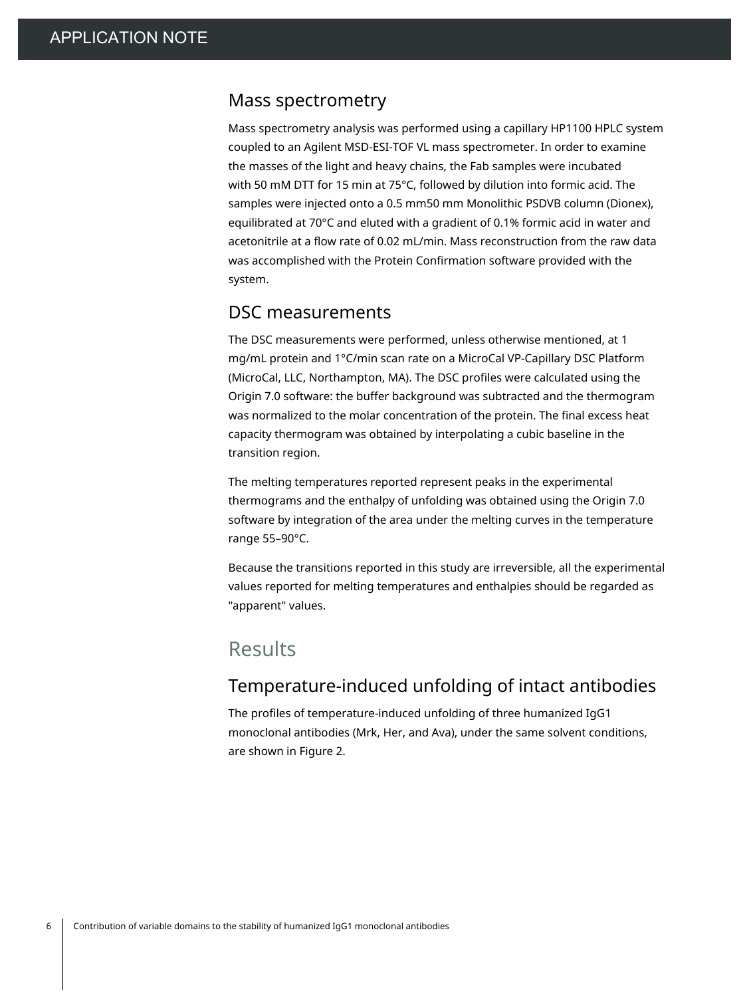#### Mass spectrometry

Mass spectrometry analysis was performed using a capillary HP1100 HPLC system coupled to an Agilent MSD-ESI-TOF VL mass spectrometer. In order to examine the masses of the light and heavy chains, the Fab samples were incubated with 50 mM DTT for 15 min at 75°C, followed by dilution into formic acid. The samples were injected onto a 0.5 mm50 mm Monolithic PSDVB column (Dionex), equilibrated at 70°C and eluted with a gradient of 0.1% formic acid in water and acetonitrile at a flow rate of 0.02 mL/min. Mass reconstruction from the raw data was accomplished with the Protein Confirmation software provided with the system.

#### DSC measurements

The DSC measurements were performed, unless otherwise mentioned, at 1 mg/mL protein and 1°C/min scan rate on a MicroCal VP-Capillary DSC Platform (MicroCal, LLC, Northampton, MA). The DSC profiles were calculated using the Origin 7.0 software: the buffer background was subtracted and the thermogram was normalized to the molar concentration of the protein. The final excess heat capacity thermogram was obtained by interpolating a cubic baseline in the transition region.

The melting temperatures reported represent peaks in the experimental thermograms and the enthalpy of unfolding was obtained using the Origin 7.0 software by integration of the area under the melting curves in the temperature range 55–90°C.

Because the transitions reported in this study are irreversible, all the experimental values reported for melting temperatures and enthalpies should be regarded as "apparent" values.

### Results

#### Temperature-induced unfolding of intact antibodies

The profiles of temperature-induced unfolding of three humanized IgG1 monoclonal antibodies (Mrk, Her, and Ava), under the same solvent conditions, are shown in Figure 2.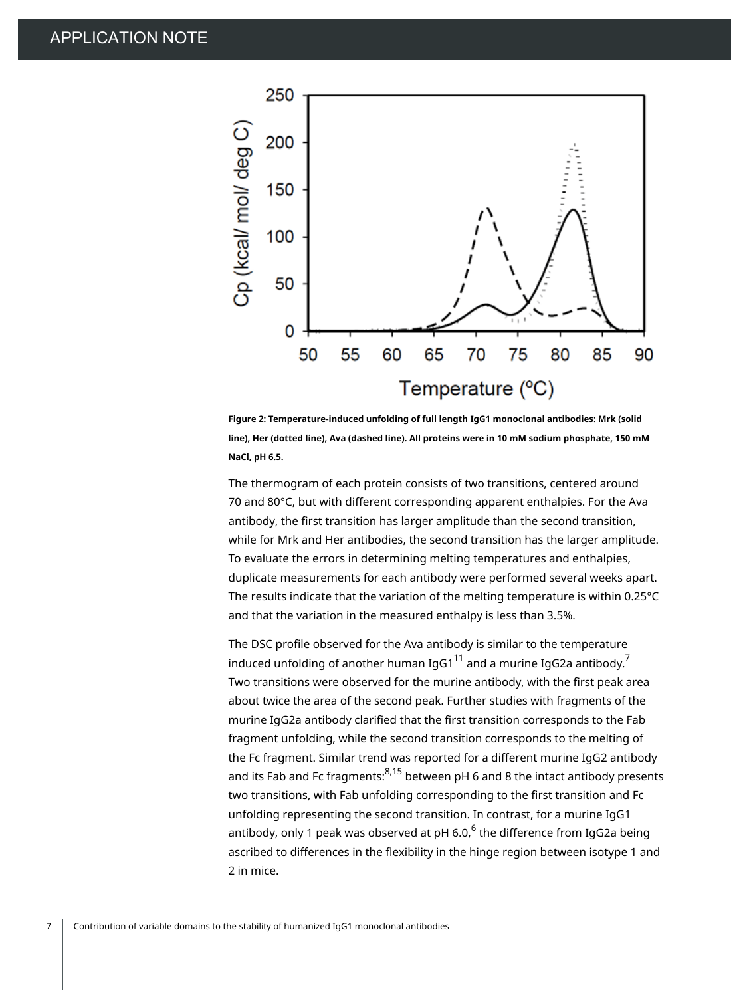

**Figure 2: Temperature-induced unfolding of full length IgG1 monoclonal antibodies: Mrk (solid line), Her (dotted line), Ava (dashed line). All proteins were in 10 mM sodium phosphate, 150 mM NaCl, pH 6.5.**

The thermogram of each protein consists of two transitions, centered around 70 and 80°C, but with different corresponding apparent enthalpies. For the Ava antibody, the first transition has larger amplitude than the second transition, while for Mrk and Her antibodies, the second transition has the larger amplitude. To evaluate the errors in determining melting temperatures and enthalpies, duplicate measurements for each antibody were performed several weeks apart. The results indicate that the variation of the melting temperature is within 0.25°C and that the variation in the measured enthalpy is less than 3.5%.

The DSC profile observed for the Ava antibody is similar to the temperature induced unfolding of another human IgG1 $^{11}$  and a murine IgG2a antibody. $^7$ Two transitions were observed for the murine antibody, with the first peak area about twice the area of the second peak. Further studies with fragments of the murine IgG2a antibody clarified that the first transition corresponds to the Fab fragment unfolding, while the second transition corresponds to the melting of the Fc fragment. Similar trend was reported for a different murine IgG2 antibody and its Fab and Fc fragments:<sup>8,15</sup> between pH 6 and 8 the intact antibody presents two transitions, with Fab unfolding corresponding to the first transition and Fc unfolding representing the second transition. In contrast, for a murine IgG1 antibody, only 1 peak was observed at pH 6.0, $^{\rm 6}$  the difference from IgG2a being ascribed to differences in the flexibility in the hinge region between isotype 1 and 2 in mice.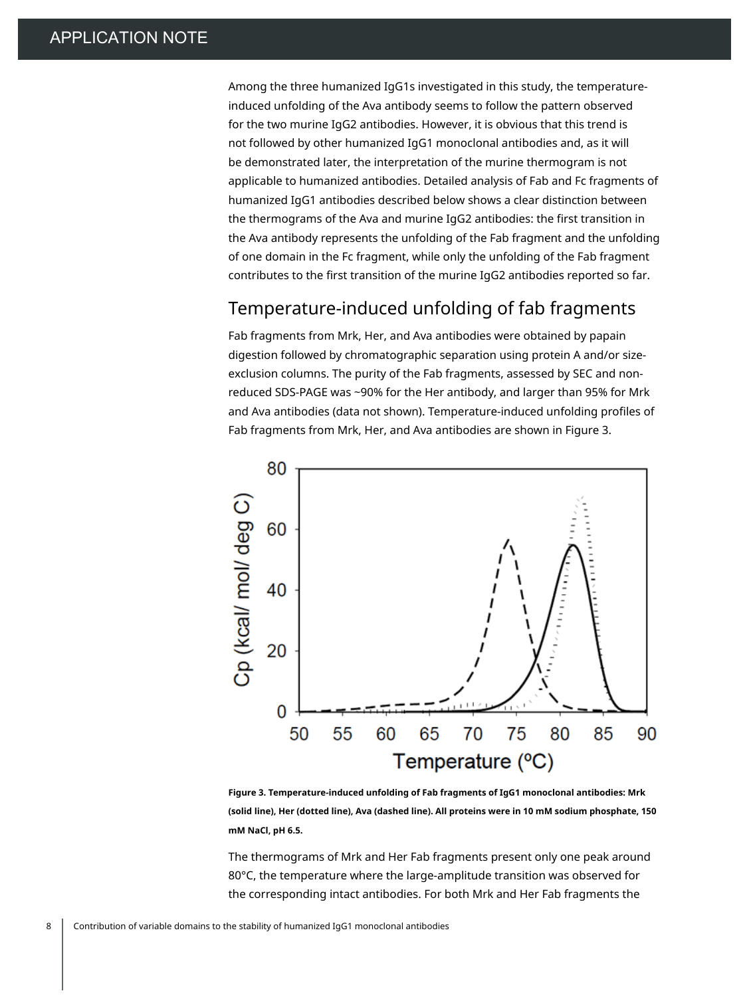Among the three humanized IgG1s investigated in this study, the temperatureinduced unfolding of the Ava antibody seems to follow the pattern observed for the two murine IgG2 antibodies. However, it is obvious that this trend is not followed by other humanized IgG1 monoclonal antibodies and, as it will be demonstrated later, the interpretation of the murine thermogram is not applicable to humanized antibodies. Detailed analysis of Fab and Fc fragments of humanized IgG1 antibodies described below shows a clear distinction between the thermograms of the Ava and murine IgG2 antibodies: the first transition in the Ava antibody represents the unfolding of the Fab fragment and the unfolding of one domain in the Fc fragment, while only the unfolding of the Fab fragment contributes to the first transition of the murine IgG2 antibodies reported so far.

#### Temperature-induced unfolding of fab fragments

Fab fragments from Mrk, Her, and Ava antibodies were obtained by papain digestion followed by chromatographic separation using protein A and/or sizeexclusion columns. The purity of the Fab fragments, assessed by SEC and nonreduced SDS-PAGE was ~90% for the Her antibody, and larger than 95% for Mrk and Ava antibodies (data not shown). Temperature-induced unfolding profiles of Fab fragments from Mrk, Her, and Ava antibodies are shown in Figure 3.



**Figure 3. Temperature-induced unfolding of Fab fragments of IgG1 monoclonal antibodies: Mrk (solid line), Her (dotted line), Ava (dashed line). All proteins were in 10 mM sodium phosphate, 150 mM NaCl, pH 6.5.**

The thermograms of Mrk and Her Fab fragments present only one peak around 80°C, the temperature where the large-amplitude transition was observed for the corresponding intact antibodies. For both Mrk and Her Fab fragments the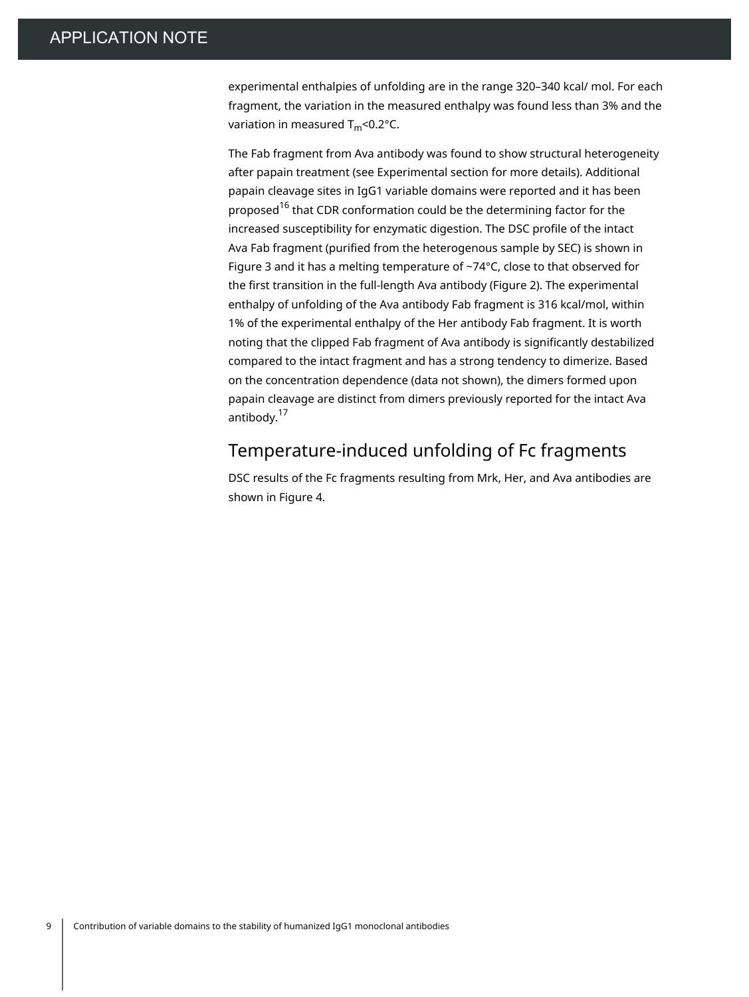experimental enthalpies of unfolding are in the range 320–340 kcal/ mol. For each fragment, the variation in the measured enthalpy was found less than 3% and the variation in measured  $T_m$ <0.2°C.

The Fab fragment from Ava antibody was found to show structural heterogeneity after papain treatment (see Experimental section for more details). Additional papain cleavage sites in IgG1 variable domains were reported and it has been proposed<sup>16</sup> that CDR conformation could be the determining factor for the increased susceptibility for enzymatic digestion. The DSC profile of the intact Ava Fab fragment (purified from the heterogenous sample by SEC) is shown in Figure 3 and it has a melting temperature of ~74°C, close to that observed for the first transition in the full-length Ava antibody (Figure 2). The experimental enthalpy of unfolding of the Ava antibody Fab fragment is 316 kcal/mol, within 1% of the experimental enthalpy of the Her antibody Fab fragment. It is worth noting that the clipped Fab fragment of Ava antibody is significantly destabilized compared to the intact fragment and has a strong tendency to dimerize. Based on the concentration dependence (data not shown), the dimers formed upon papain cleavage are distinct from dimers previously reported for the intact Ava antibody.<sup>17</sup>

#### Temperature-induced unfolding of Fc fragments

DSC results of the Fc fragments resulting from Mrk, Her, and Ava antibodies are shown in Figure 4.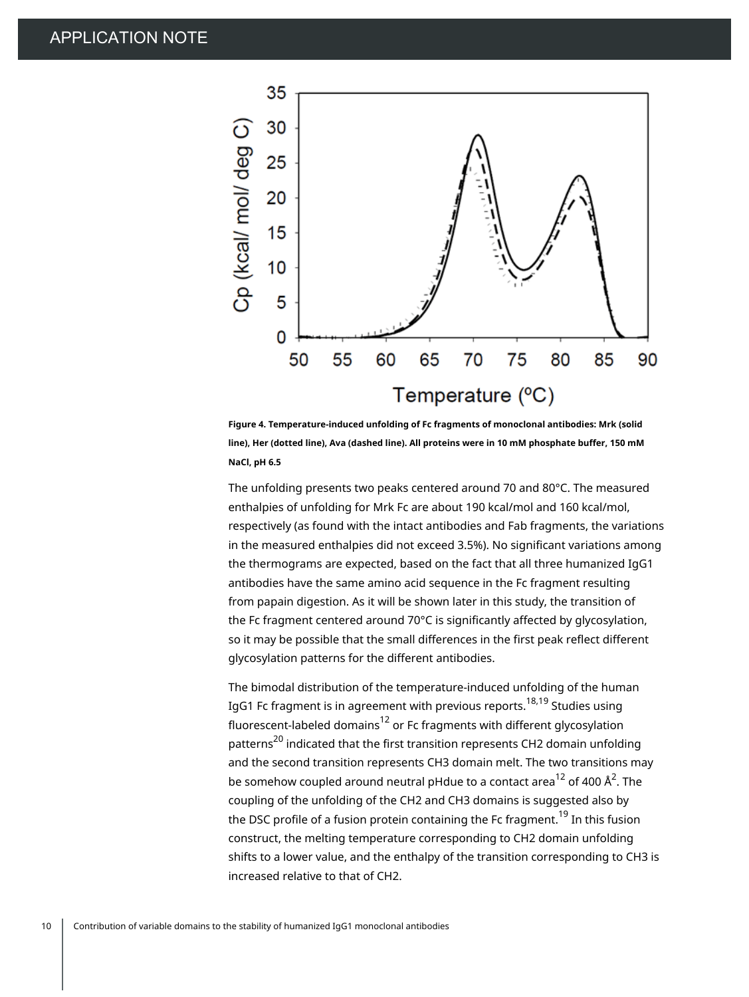

**Figure 4. Temperature-induced unfolding of Fc fragments of monoclonal antibodies: Mrk (solid line), Her (dotted line), Ava (dashed line). All proteins were in 10 mM phosphate buffer, 150 mM NaCl, pH 6.5**

The unfolding presents two peaks centered around 70 and 80°C. The measured enthalpies of unfolding for Mrk Fc are about 190 kcal/mol and 160 kcal/mol, respectively (as found with the intact antibodies and Fab fragments, the variations in the measured enthalpies did not exceed 3.5%). No significant variations among the thermograms are expected, based on the fact that all three humanized IgG1 antibodies have the same amino acid sequence in the Fc fragment resulting from papain digestion. As it will be shown later in this study, the transition of the Fc fragment centered around 70°C is significantly affected by glycosylation, so it may be possible that the small differences in the first peak reflect different glycosylation patterns for the different antibodies.

The bimodal distribution of the temperature-induced unfolding of the human IgG1 Fc fragment is in agreement with previous reports.<sup>18,19</sup> Studies using fluorescent-labeled domains $^{\rm 12}$  or Fc fragments with different glycosylation patterns<sup>20</sup> indicated that the first transition represents CH2 domain unfolding and the second transition represents CH3 domain melt. The two transitions may be somehow coupled around neutral pHdue to a contact area $^{12}$  of 400 Å $^2$ . The coupling of the unfolding of the CH2 and CH3 domains is suggested also by the DSC profile of a fusion protein containing the Fc fragment.<sup>19</sup> In this fusion construct, the melting temperature corresponding to CH2 domain unfolding shifts to a lower value, and the enthalpy of the transition corresponding to CH3 is increased relative to that of CH2.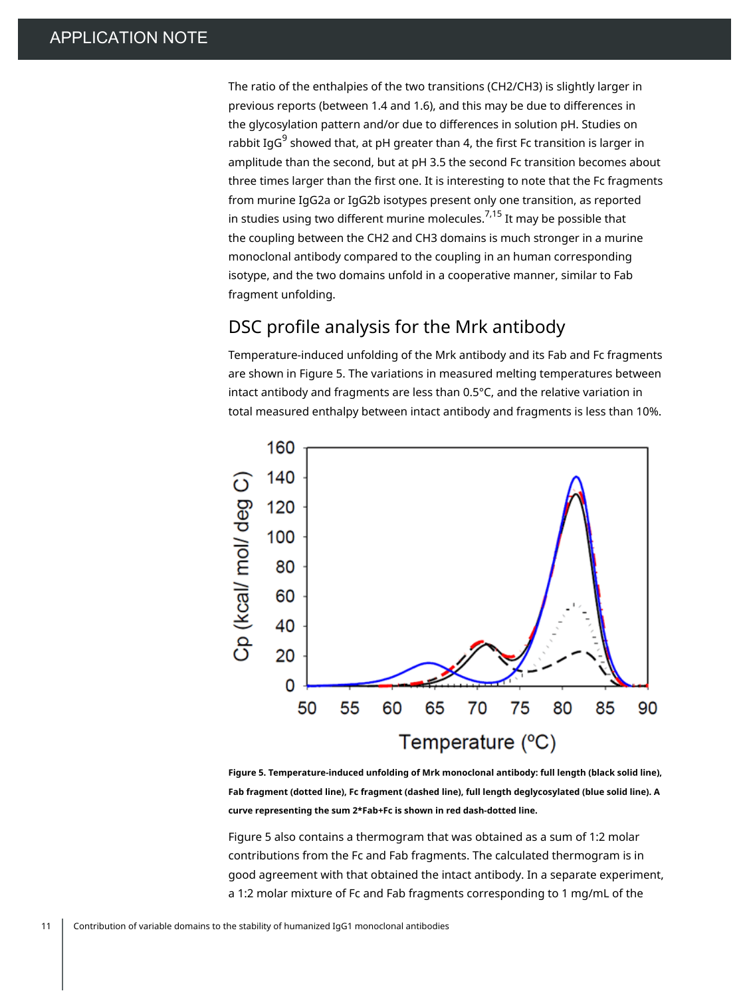The ratio of the enthalpies of the two transitions (CH2/CH3) is slightly larger in previous reports (between 1.4 and 1.6), and this may be due to differences in the glycosylation pattern and/or due to differences in solution pH. Studies on rabbit IgG $^9$  showed that, at pH greater than 4, the first Fc transition is larger in amplitude than the second, but at pH 3.5 the second Fc transition becomes about three times larger than the first one. It is interesting to note that the Fc fragments from murine IgG2a or IgG2b isotypes present only one transition, as reported in studies using two different murine molecules.<sup>7,15</sup> It may be possible that the coupling between the CH2 and CH3 domains is much stronger in a murine monoclonal antibody compared to the coupling in an human corresponding isotype, and the two domains unfold in a cooperative manner, similar to Fab fragment unfolding.

### DSC profile analysis for the Mrk antibody

Temperature-induced unfolding of the Mrk antibody and its Fab and Fc fragments are shown in Figure 5. The variations in measured melting temperatures between intact antibody and fragments are less than 0.5°C, and the relative variation in total measured enthalpy between intact antibody and fragments is less than 10%.



**Figure 5. Temperature-induced unfolding of Mrk monoclonal antibody: full length (black solid line), Fab fragment (dotted line), Fc fragment (dashed line), full length deglycosylated (blue solid line). A curve representing the sum 2\*Fab+Fc is shown in red dash-dotted line.**

Figure 5 also contains a thermogram that was obtained as a sum of 1:2 molar contributions from the Fc and Fab fragments. The calculated thermogram is in good agreement with that obtained the intact antibody. In a separate experiment, a 1:2 molar mixture of Fc and Fab fragments corresponding to 1 mg/mL of the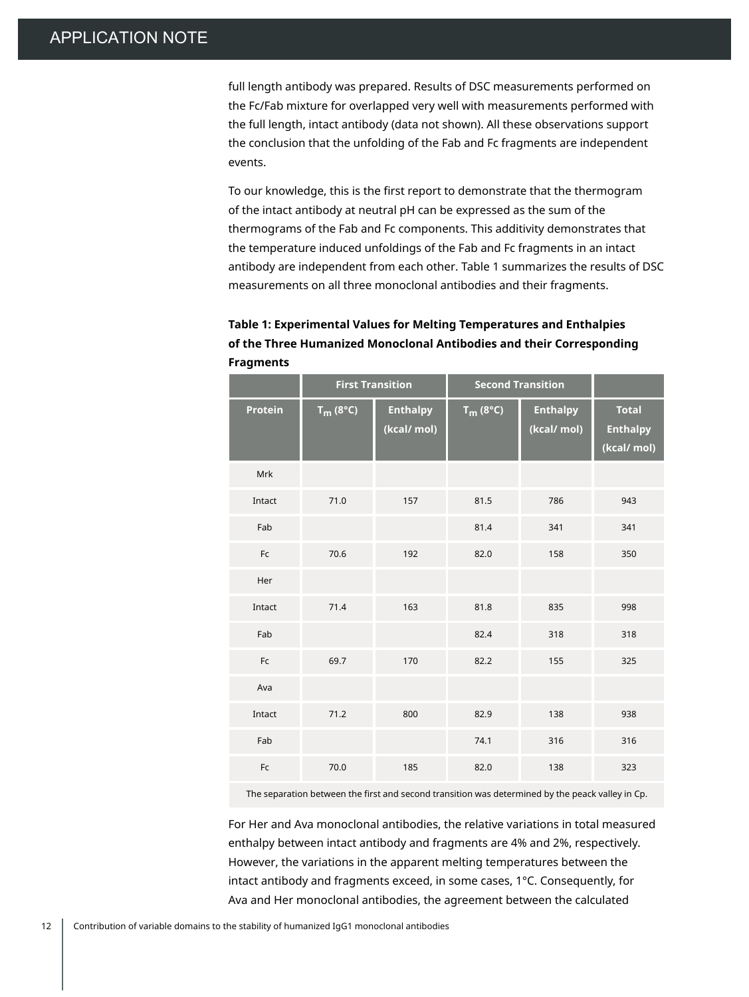full length antibody was prepared. Results of DSC measurements performed on the Fc/Fab mixture for overlapped very well with measurements performed with the full length, intact antibody (data not shown). All these observations support the conclusion that the unfolding of the Fab and Fc fragments are independent events.

To our knowledge, this is the first report to demonstrate that the thermogram of the intact antibody at neutral pH can be expressed as the sum of the thermograms of the Fab and Fc components. This additivity demonstrates that the temperature induced unfoldings of the Fab and Fc fragments in an intact antibody are independent from each other. Table 1 summarizes the results of DSC measurements on all three monoclonal antibodies and their fragments.

| Table 1: Experimental Values for Melting Temperatures and Enthalpies |
|----------------------------------------------------------------------|
| of the Three Humanized Monoclonal Antibodies and their Corresponding |
| <b>Fragments</b>                                                     |

|                | <b>First Transition</b> |                                | <b>Second Transition</b> |                                |                                                |
|----------------|-------------------------|--------------------------------|--------------------------|--------------------------------|------------------------------------------------|
| <b>Protein</b> | $T_m$ (8°C)             | <b>Enthalpy</b><br>(kcal/ mol) | $T_m$ (8°C)              | <b>Enthalpy</b><br>(kcal/ mol) | <b>Total</b><br><b>Enthalpy</b><br>(kcal/ mol) |
| Mrk            |                         |                                |                          |                                |                                                |
| Intact         | 71.0                    | 157                            | 81.5                     | 786                            | 943                                            |
| Fab            |                         |                                | 81.4                     | 341                            | 341                                            |
| Fc             | 70.6                    | 192                            | 82.0                     | 158                            | 350                                            |
| Her            |                         |                                |                          |                                |                                                |
| Intact         | 71.4                    | 163                            | 81.8                     | 835                            | 998                                            |
| Fab            |                         |                                | 82.4                     | 318                            | 318                                            |
| Fc             | 69.7                    | 170                            | 82.2                     | 155                            | 325                                            |
| Ava            |                         |                                |                          |                                |                                                |
| Intact         | 71.2                    | 800                            | 82.9                     | 138                            | 938                                            |
| Fab            |                         |                                | 74.1                     | 316                            | 316                                            |
| Fc             | 70.0                    | 185                            | 82.0                     | 138                            | 323                                            |

The separation between the first and second transition was determined by the peack valley in Cp.

For Her and Ava monoclonal antibodies, the relative variations in total measured enthalpy between intact antibody and fragments are 4% and 2%, respectively. However, the variations in the apparent melting temperatures between the intact antibody and fragments exceed, in some cases, 1°C. Consequently, for Ava and Her monoclonal antibodies, the agreement between the calculated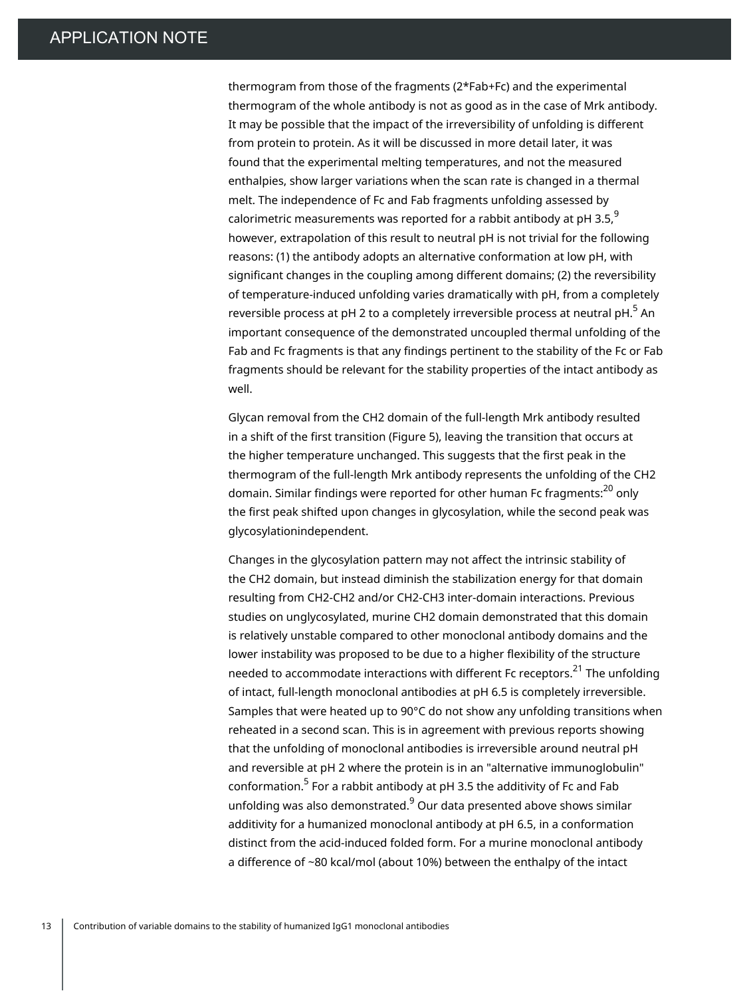thermogram from those of the fragments (2\*Fab+Fc) and the experimental thermogram of the whole antibody is not as good as in the case of Mrk antibody. It may be possible that the impact of the irreversibility of unfolding is different from protein to protein. As it will be discussed in more detail later, it was found that the experimental melting temperatures, and not the measured enthalpies, show larger variations when the scan rate is changed in a thermal melt. The independence of Fc and Fab fragments unfolding assessed by calorimetric measurements was reported for a rabbit antibody at pH 3.5, $^{\rm 9}$ however, extrapolation of this result to neutral pH is not trivial for the following reasons: (1) the antibody adopts an alternative conformation at low pH, with significant changes in the coupling among different domains; (2) the reversibility of temperature-induced unfolding varies dramatically with pH, from a completely reversible process at pH 2 to a completely irreversible process at neutral pH. $^{\mathrm{5}}$  An important consequence of the demonstrated uncoupled thermal unfolding of the Fab and Fc fragments is that any findings pertinent to the stability of the Fc or Fab fragments should be relevant for the stability properties of the intact antibody as well.

Glycan removal from the CH2 domain of the full-length Mrk antibody resulted in a shift of the first transition (Figure 5), leaving the transition that occurs at the higher temperature unchanged. This suggests that the first peak in the thermogram of the full-length Mrk antibody represents the unfolding of the CH2 domain. Similar findings were reported for other human Fc fragments:<sup>20</sup> only the first peak shifted upon changes in glycosylation, while the second peak was glycosylationindependent.

Changes in the glycosylation pattern may not affect the intrinsic stability of the CH2 domain, but instead diminish the stabilization energy for that domain resulting from CH2-CH2 and/or CH2-CH3 inter-domain interactions. Previous studies on unglycosylated, murine CH2 domain demonstrated that this domain is relatively unstable compared to other monoclonal antibody domains and the lower instability was proposed to be due to a higher flexibility of the structure needed to accommodate interactions with different Fc receptors. $^{\mathrm{21}}$  The unfolding of intact, full-length monoclonal antibodies at pH 6.5 is completely irreversible. Samples that were heated up to 90°C do not show any unfolding transitions when reheated in a second scan. This is in agreement with previous reports showing that the unfolding of monoclonal antibodies is irreversible around neutral pH and reversible at pH 2 where the protein is in an "alternative immunoglobulin" conformation.<sup>5</sup> For a rabbit antibody at pH 3.5 the additivity of Fc and Fab unfolding was also demonstrated.<sup>9</sup> Our data presented above shows similar additivity for a humanized monoclonal antibody at pH 6.5, in a conformation distinct from the acid-induced folded form. For a murine monoclonal antibody a difference of ~80 kcal/mol (about 10%) between the enthalpy of the intact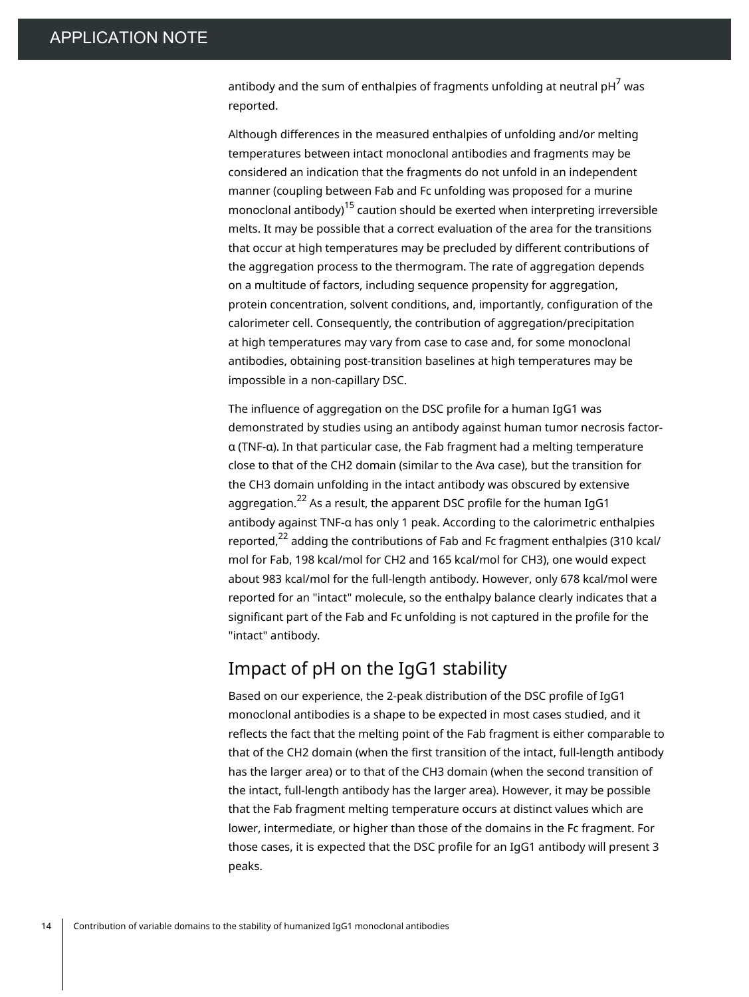antibody and the sum of enthalpies of fragments unfolding at neutral pH $^7$  was reported.

Although differences in the measured enthalpies of unfolding and/or melting temperatures between intact monoclonal antibodies and fragments may be considered an indication that the fragments do not unfold in an independent manner (coupling between Fab and Fc unfolding was proposed for a murine monoclonal antibody<sup>15</sup> caution should be exerted when interpreting irreversible melts. It may be possible that a correct evaluation of the area for the transitions that occur at high temperatures may be precluded by different contributions of the aggregation process to the thermogram. The rate of aggregation depends on a multitude of factors, including sequence propensity for aggregation, protein concentration, solvent conditions, and, importantly, configuration of the calorimeter cell. Consequently, the contribution of aggregation/precipitation at high temperatures may vary from case to case and, for some monoclonal antibodies, obtaining post-transition baselines at high temperatures may be impossible in a non-capillary DSC.

The influence of aggregation on the DSC profile for a human IgG1 was demonstrated by studies using an antibody against human tumor necrosis factorα (TNF-α). In that particular case, the Fab fragment had a melting temperature close to that of the CH2 domain (similar to the Ava case), but the transition for the CH3 domain unfolding in the intact antibody was obscured by extensive aggregation. $^{22}$  As a result, the apparent DSC profile for the human IgG1 antibody against TNF-α has only 1 peak. According to the calorimetric enthalpies reported, $^\mathrm{22}$  adding the contributions of Fab and Fc fragment enthalpies (310 kcal/ mol for Fab, 198 kcal/mol for CH2 and 165 kcal/mol for CH3), one would expect about 983 kcal/mol for the full-length antibody. However, only 678 kcal/mol were reported for an "intact" molecule, so the enthalpy balance clearly indicates that a significant part of the Fab and Fc unfolding is not captured in the profile for the "intact" antibody.

#### Impact of pH on the IgG1 stability

Based on our experience, the 2-peak distribution of the DSC profile of IgG1 monoclonal antibodies is a shape to be expected in most cases studied, and it reflects the fact that the melting point of the Fab fragment is either comparable to that of the CH2 domain (when the first transition of the intact, full-length antibody has the larger area) or to that of the CH3 domain (when the second transition of the intact, full-length antibody has the larger area). However, it may be possible that the Fab fragment melting temperature occurs at distinct values which are lower, intermediate, or higher than those of the domains in the Fc fragment. For those cases, it is expected that the DSC profile for an IgG1 antibody will present 3 peaks.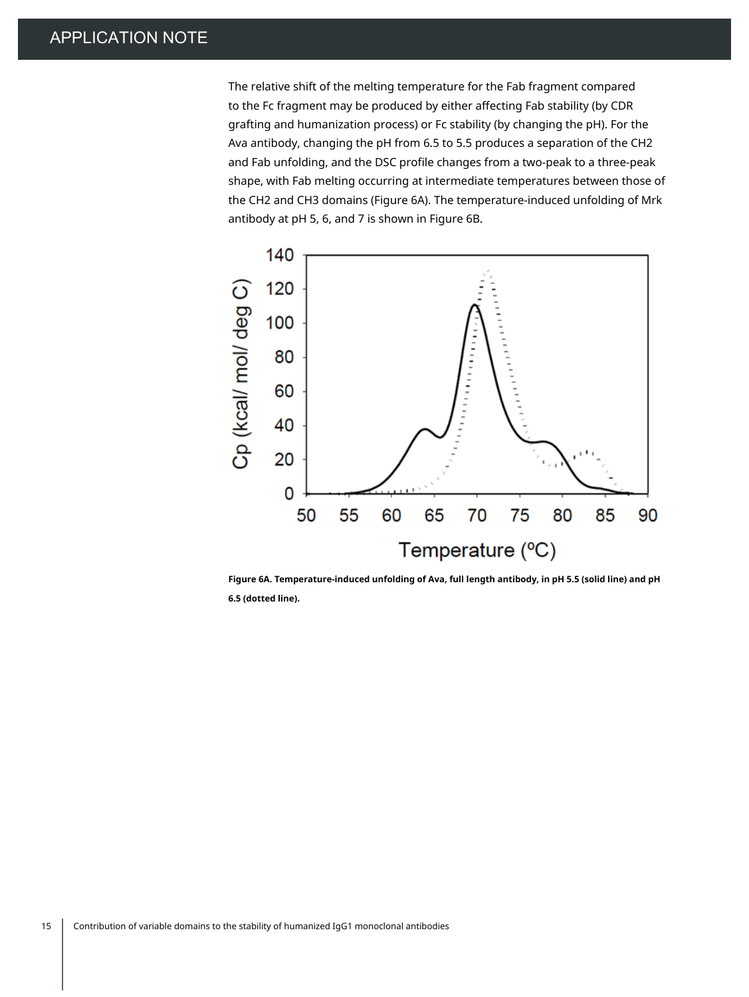The relative shift of the melting temperature for the Fab fragment compared to the Fc fragment may be produced by either affecting Fab stability (by CDR grafting and humanization process) or Fc stability (by changing the pH). For the Ava antibody, changing the pH from 6.5 to 5.5 produces a separation of the CH2 and Fab unfolding, and the DSC profile changes from a two-peak to a three-peak shape, with Fab melting occurring at intermediate temperatures between those of the CH2 and CH3 domains (Figure 6A). The temperature-induced unfolding of Mrk antibody at pH 5, 6, and 7 is shown in Figure 6B.



**Figure 6A. Temperature-induced unfolding of Ava, full length antibody, in pH 5.5 (solid line) and pH 6.5 (dotted line).**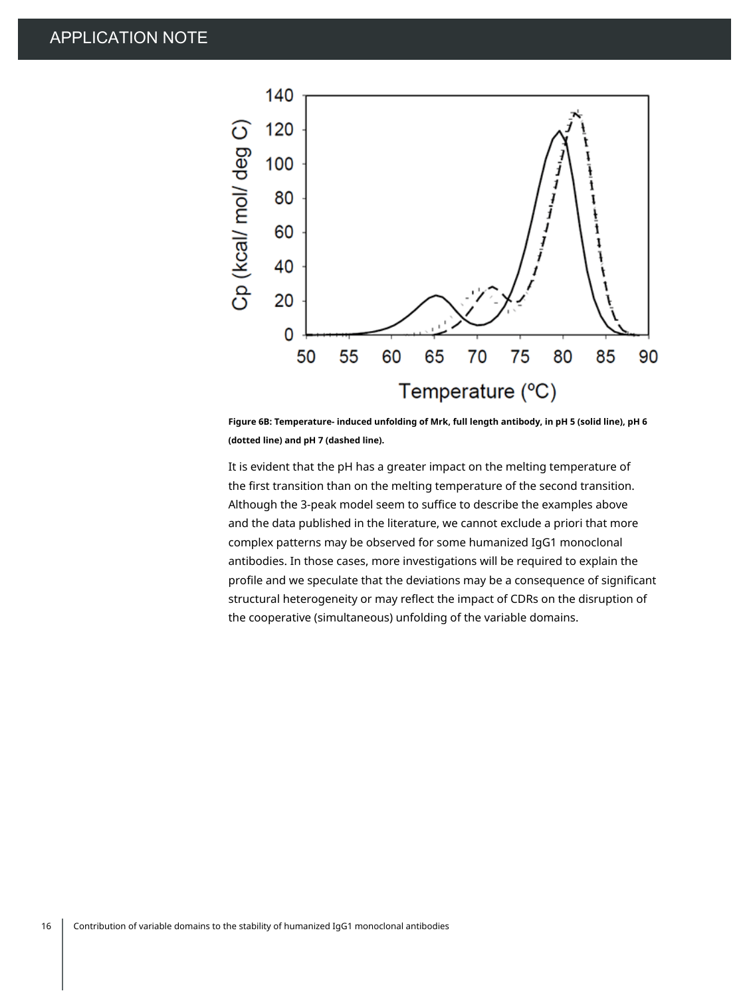

**Figure 6B: Temperature- induced unfolding of Mrk, full length antibody, in pH 5 (solid line), pH 6 (dotted line) and pH 7 (dashed line).**

It is evident that the pH has a greater impact on the melting temperature of the first transition than on the melting temperature of the second transition. Although the 3-peak model seem to suffice to describe the examples above and the data published in the literature, we cannot exclude a priori that more complex patterns may be observed for some humanized IgG1 monoclonal antibodies. In those cases, more investigations will be required to explain the profile and we speculate that the deviations may be a consequence of significant structural heterogeneity or may reflect the impact of CDRs on the disruption of the cooperative (simultaneous) unfolding of the variable domains.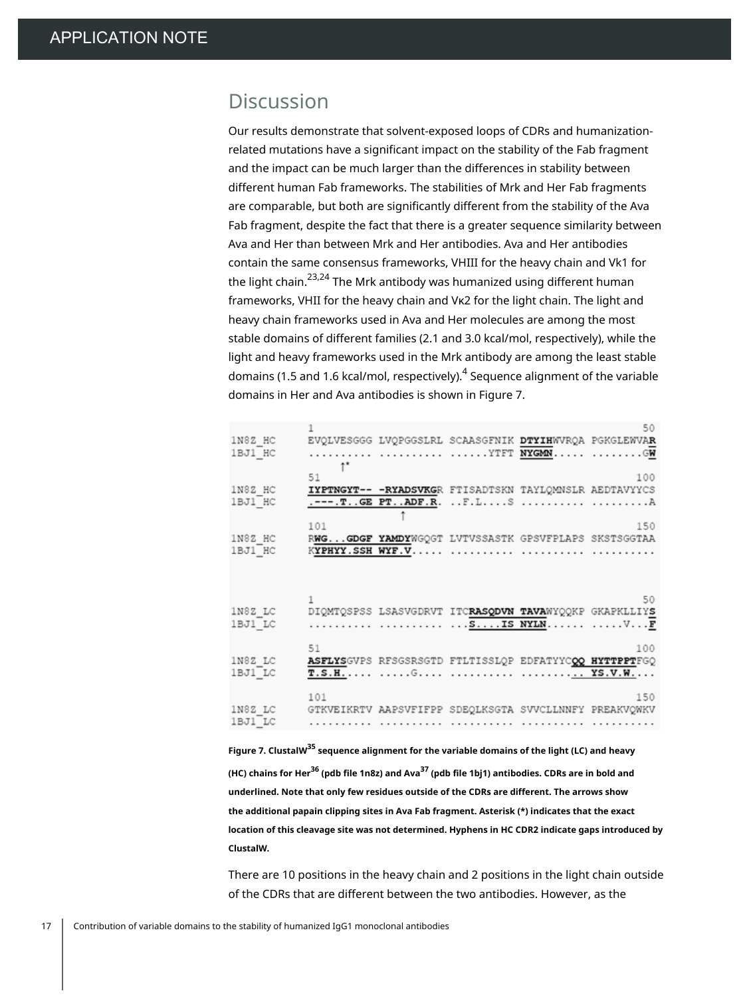### Discussion

Our results demonstrate that solvent-exposed loops of CDRs and humanizationrelated mutations have a significant impact on the stability of the Fab fragment and the impact can be much larger than the differences in stability between different human Fab frameworks. The stabilities of Mrk and Her Fab fragments are comparable, but both are significantly different from the stability of the Ava Fab fragment, despite the fact that there is a greater sequence similarity between Ava and Her than between Mrk and Her antibodies. Ava and Her antibodies contain the same consensus frameworks, VHIII for the heavy chain and Vk1 for the light chain.<sup>23,24</sup> The Mrk antibody was humanized using different human frameworks, VHII for the heavy chain and Vκ2 for the light chain. The light and heavy chain frameworks used in Ava and Her molecules are among the most stable domains of different families (2.1 and 3.0 kcal/mol, respectively), while the light and heavy frameworks used in the Mrk antibody are among the least stable domains (1.5 and 1.6 kcal/mol, respectively).<sup>4</sup> Sequence alignment of the variable domains in Her and Ava antibodies is shown in Figure 7.

| 1N8Z HC<br>1BJ1_HC |     |                  | EVOLVESGGG LVOPGGSLRL SCAASGFNIK DTYIHWVROA PGKGLEWVAR<br>YTFT <b>NYGMN</b> GW       | 50                                                            |
|--------------------|-----|------------------|--------------------------------------------------------------------------------------|---------------------------------------------------------------|
| 1N8Z HC<br>1BJ1 HC | 51  |                  | IYPTNGYT-- - RYADSVKGR FTISADTSKN TAYLOMNSLR AEDTAVYYCS<br>.---.TGE PTADF.R. F.LS  A | 100                                                           |
| 1N8Z HC<br>1BJ1 HC | 101 | KYPHYY.SSH WYF.V | RWGGDGF YAMDYWGQGT LVTVSSASTK GPSVFPLAPS SKSTSGGTAA                                  | 150                                                           |
| 1N8Z LC<br>1BJ1 LC |     |                  | DIQMTQSPSS LSASVGDRVT ITCRASQDVN TAVAWYQQKP GKAPKLLIYS<br><u>sIS NYLN</u> VF         | 50                                                            |
| 1N8Z LC<br>1BJ1 LC | 51  |                  | ASFLYSGVPS RESGSRSGTD FTLTISSLQP EDFATYYCOQ HYTTPPTFGQ                               | 100                                                           |
| 1N8Z LC<br>1BJ1 LC | 101 |                  |                                                                                      | 150<br>GTKVEIKRTV AAPSVFIFPP SDEQLKSGTA SVVCLLNNFY PREAKVQWKV |

**Figure 7. ClustalW <sup>35</sup> sequence alignment for the variable domains of the light (LC) and heavy (HC) chains for Her36 (pdb file 1n8z) and Ava<sup>37</sup> (pdb file 1bj1) antibodies. CDRs are in bold and underlined. Note that only few residues outside of the CDRs are different. The arrows show the additional papain clipping sites in Ava Fab fragment. Asterisk (\*) indicates that the exact location of this cleavage site was not determined. Hyphens in HC CDR2 indicate gaps introduced by ClustalW.**

There are 10 positions in the heavy chain and 2 positions in the light chain outside of the CDRs that are different between the two antibodies. However, as the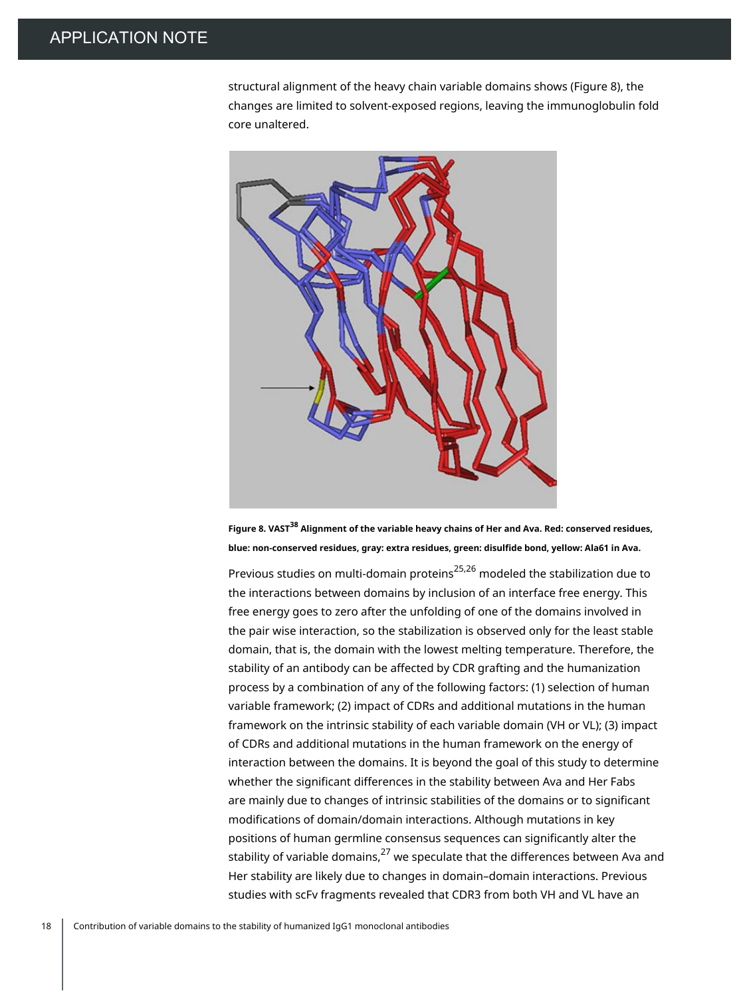structural alignment of the heavy chain variable domains shows (Figure 8), the changes are limited to solvent-exposed regions, leaving the immunoglobulin fold core unaltered.



**Figure 8. VAST <sup>38</sup> Alignment of the variable heavy chains of Her and Ava. Red: conserved residues, blue: non-conserved residues, gray: extra residues, green: disulfide bond, yellow: Ala61 in Ava.**

Previous studies on multi-domain proteins<sup>25,26</sup> modeled the stabilization due to the interactions between domains by inclusion of an interface free energy. This free energy goes to zero after the unfolding of one of the domains involved in the pair wise interaction, so the stabilization is observed only for the least stable domain, that is, the domain with the lowest melting temperature. Therefore, the stability of an antibody can be affected by CDR grafting and the humanization process by a combination of any of the following factors: (1) selection of human variable framework; (2) impact of CDRs and additional mutations in the human framework on the intrinsic stability of each variable domain (VH or VL); (3) impact of CDRs and additional mutations in the human framework on the energy of interaction between the domains. It is beyond the goal of this study to determine whether the significant differences in the stability between Ava and Her Fabs are mainly due to changes of intrinsic stabilities of the domains or to significant modifications of domain/domain interactions. Although mutations in key positions of human germline consensus sequences can significantly alter the stability of variable domains, $^{27}$  we speculate that the differences between Ava and Her stability are likely due to changes in domain–domain interactions. Previous studies with scFv fragments revealed that CDR3 from both VH and VL have an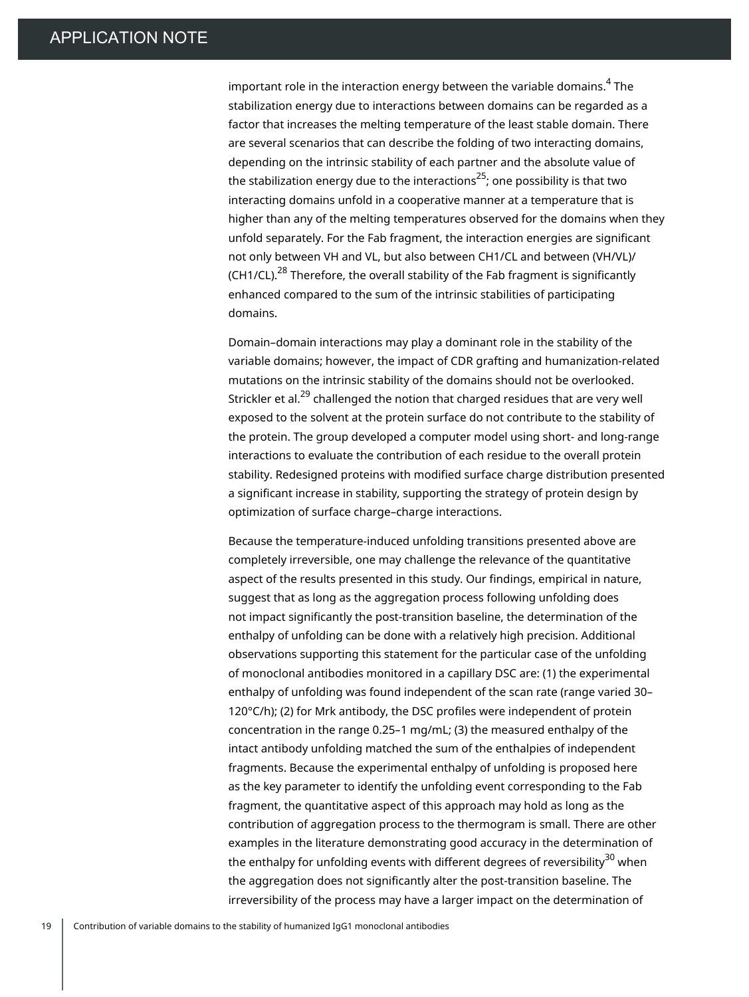important role in the interaction energy between the variable domains. $^{\rm 4}$  The stabilization energy due to interactions between domains can be regarded as a factor that increases the melting temperature of the least stable domain. There are several scenarios that can describe the folding of two interacting domains, depending on the intrinsic stability of each partner and the absolute value of the stabilization energy due to the interactions<sup>25</sup>; one possibility is that two interacting domains unfold in a cooperative manner at a temperature that is higher than any of the melting temperatures observed for the domains when they unfold separately. For the Fab fragment, the interaction energies are significant not only between VH and VL, but also between CH1/CL and between (VH/VL)/ (CH1/CL).<sup>28</sup> Therefore, the overall stability of the Fab fragment is significantly enhanced compared to the sum of the intrinsic stabilities of participating domains.

Domain–domain interactions may play a dominant role in the stability of the variable domains; however, the impact of CDR grafting and humanization-related mutations on the intrinsic stability of the domains should not be overlooked. Strickler et al.<sup>29</sup> challenged the notion that charged residues that are very well exposed to the solvent at the protein surface do not contribute to the stability of the protein. The group developed a computer model using short- and long-range interactions to evaluate the contribution of each residue to the overall protein stability. Redesigned proteins with modified surface charge distribution presented a significant increase in stability, supporting the strategy of protein design by optimization of surface charge–charge interactions.

Because the temperature-induced unfolding transitions presented above are completely irreversible, one may challenge the relevance of the quantitative aspect of the results presented in this study. Our findings, empirical in nature, suggest that as long as the aggregation process following unfolding does not impact significantly the post-transition baseline, the determination of the enthalpy of unfolding can be done with a relatively high precision. Additional observations supporting this statement for the particular case of the unfolding of monoclonal antibodies monitored in a capillary DSC are: (1) the experimental enthalpy of unfolding was found independent of the scan rate (range varied 30– 120°C/h); (2) for Mrk antibody, the DSC profiles were independent of protein concentration in the range 0.25–1 mg/mL; (3) the measured enthalpy of the intact antibody unfolding matched the sum of the enthalpies of independent fragments. Because the experimental enthalpy of unfolding is proposed here as the key parameter to identify the unfolding event corresponding to the Fab fragment, the quantitative aspect of this approach may hold as long as the contribution of aggregation process to the thermogram is small. There are other examples in the literature demonstrating good accuracy in the determination of the enthalpy for unfolding events with different degrees of reversibility<sup>30</sup> when the aggregation does not significantly alter the post-transition baseline. The irreversibility of the process may have a larger impact on the determination of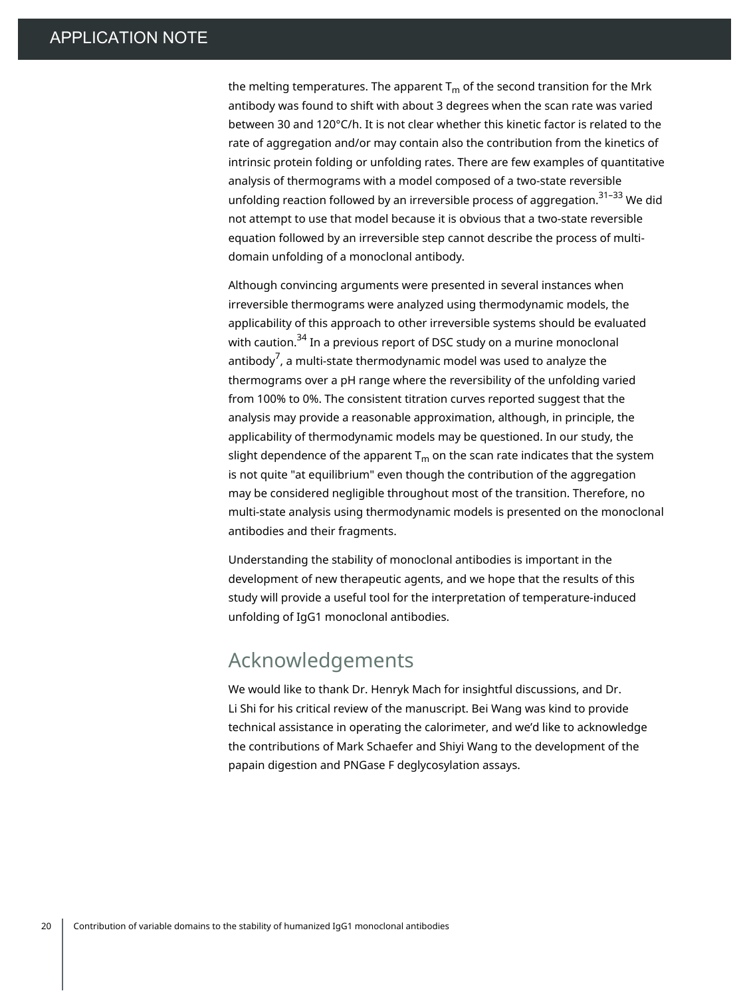the melting temperatures. The apparent  $T_m$  of the second transition for the Mrk antibody was found to shift with about 3 degrees when the scan rate was varied between 30 and 120°C/h. It is not clear whether this kinetic factor is related to the rate of aggregation and/or may contain also the contribution from the kinetics of intrinsic protein folding or unfolding rates. There are few examples of quantitative analysis of thermograms with a model composed of a two-state reversible unfolding reaction followed by an irreversible process of aggregation.<sup>31–33</sup> We did not attempt to use that model because it is obvious that a two-state reversible equation followed by an irreversible step cannot describe the process of multidomain unfolding of a monoclonal antibody.

Although convincing arguments were presented in several instances when irreversible thermograms were analyzed using thermodynamic models, the applicability of this approach to other irreversible systems should be evaluated with caution.<sup>34</sup> In a previous report of DSC study on a murine monoclonal antibody $^7$ , a multi-state thermodynamic model was used to analyze the thermograms over a pH range where the reversibility of the unfolding varied from 100% to 0%. The consistent titration curves reported suggest that the analysis may provide a reasonable approximation, although, in principle, the applicability of thermodynamic models may be questioned. In our study, the slight dependence of the apparent  $T_m$  on the scan rate indicates that the system is not quite "at equilibrium" even though the contribution of the aggregation may be considered negligible throughout most of the transition. Therefore, no multi-state analysis using thermodynamic models is presented on the monoclonal antibodies and their fragments.

Understanding the stability of monoclonal antibodies is important in the development of new therapeutic agents, and we hope that the results of this study will provide a useful tool for the interpretation of temperature-induced unfolding of IgG1 monoclonal antibodies.

### Acknowledgements

We would like to thank Dr. Henryk Mach for insightful discussions, and Dr. Li Shi for his critical review of the manuscript. Bei Wang was kind to provide technical assistance in operating the calorimeter, and we'd like to acknowledge the contributions of Mark Schaefer and Shiyi Wang to the development of the papain digestion and PNGase F deglycosylation assays.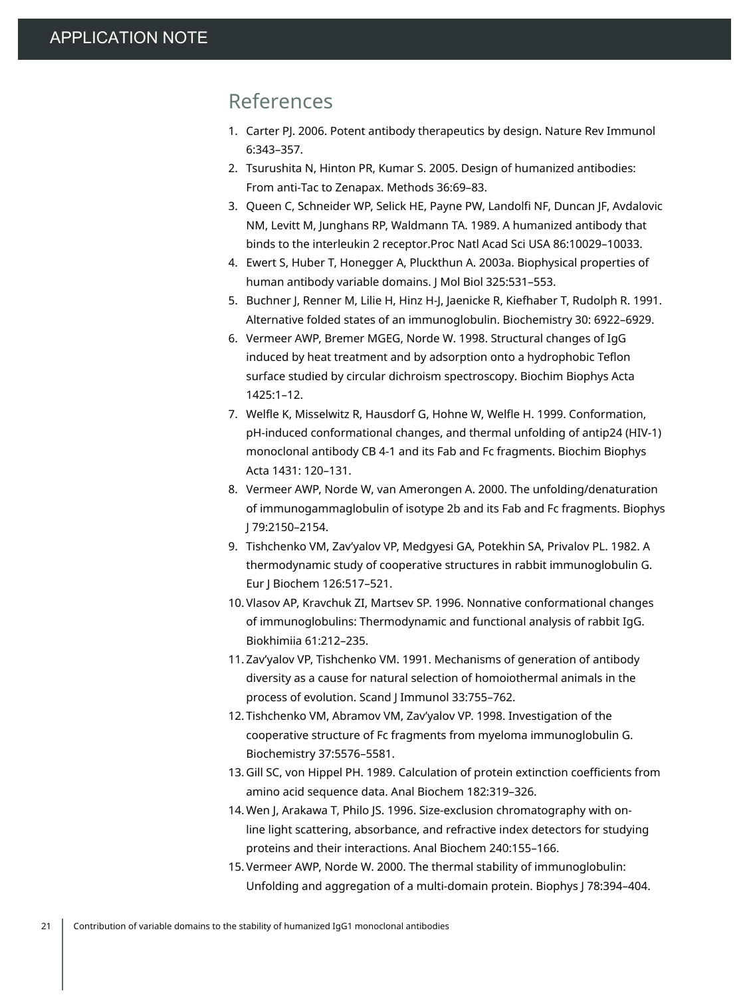## References

- 1. Carter PJ. 2006. Potent antibody therapeutics by design. Nature Rev Immunol 6:343–357.
- 2. Tsurushita N, Hinton PR, Kumar S. 2005. Design of humanized antibodies: From anti-Tac to Zenapax. Methods 36:69–83.
- 3. Queen C, Schneider WP, Selick HE, Payne PW, Landolfi NF, Duncan JF, Avdalovic NM, Levitt M, Junghans RP, Waldmann TA. 1989. A humanized antibody that binds to the interleukin 2 receptor.Proc Natl Acad Sci USA 86:10029–10033.
- 4. Ewert S, Huber T, Honegger A, Pluckthun A. 2003a. Biophysical properties of human antibody variable domains. J Mol Biol 325:531–553.
- 5. Buchner J, Renner M, Lilie H, Hinz H-J, Jaenicke R, Kiefhaber T, Rudolph R. 1991. Alternative folded states of an immunoglobulin. Biochemistry 30: 6922–6929.
- 6. Vermeer AWP, Bremer MGEG, Norde W. 1998. Structural changes of IgG induced by heat treatment and by adsorption onto a hydrophobic Teflon surface studied by circular dichroism spectroscopy. Biochim Biophys Acta 1425:1–12.
- 7. Welfle K, Misselwitz R, Hausdorf G, Hohne W, Welfle H. 1999. Conformation, pH-induced conformational changes, and thermal unfolding of antip24 (HIV-1) monoclonal antibody CB 4-1 and its Fab and Fc fragments. Biochim Biophys Acta 1431: 120–131.
- 8. Vermeer AWP, Norde W, van Amerongen A. 2000. The unfolding/denaturation of immunogammaglobulin of isotype 2b and its Fab and Fc fragments. Biophys J 79:2150–2154.
- 9. Tishchenko VM, Zav'yalov VP, Medgyesi GA, Potekhin SA, Privalov PL. 1982. A thermodynamic study of cooperative structures in rabbit immunoglobulin G. Eur J Biochem 126:517–521.
- 10. Vlasov AP, Kravchuk ZI, Martsev SP. 1996. Nonnative conformational changes of immunoglobulins: Thermodynamic and functional analysis of rabbit IgG. Biokhimiia 61:212–235.
- 11. Zav'yalov VP, Tishchenko VM. 1991. Mechanisms of generation of antibody diversity as a cause for natural selection of homoiothermal animals in the process of evolution. Scand J Immunol 33:755–762.
- 12. Tishchenko VM, Abramov VM, Zav'yalov VP. 1998. Investigation of the cooperative structure of Fc fragments from myeloma immunoglobulin G. Biochemistry 37:5576–5581.
- 13. Gill SC, von Hippel PH. 1989. Calculation of protein extinction coefficients from amino acid sequence data. Anal Biochem 182:319–326.
- 14. Wen J, Arakawa T, Philo JS. 1996. Size-exclusion chromatography with online light scattering, absorbance, and refractive index detectors for studying proteins and their interactions. Anal Biochem 240:155–166.
- 15. Vermeer AWP, Norde W. 2000. The thermal stability of immunoglobulin: Unfolding and aggregation of a multi-domain protein. Biophys J 78:394–404.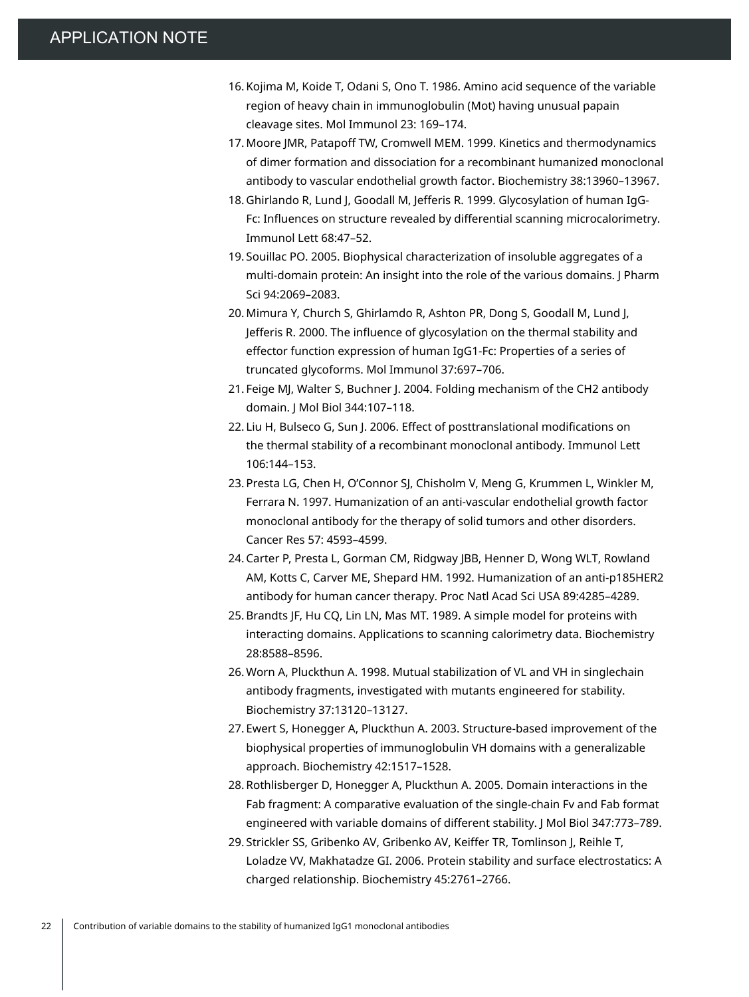- 16. Kojima M, Koide T, Odani S, Ono T. 1986. Amino acid sequence of the variable region of heavy chain in immunoglobulin (Mot) having unusual papain cleavage sites. Mol Immunol 23: 169–174.
- 17. Moore JMR, Patapoff TW, Cromwell MEM. 1999. Kinetics and thermodynamics of dimer formation and dissociation for a recombinant humanized monoclonal antibody to vascular endothelial growth factor. Biochemistry 38:13960–13967.
- 18. Ghirlando R, Lund J, Goodall M, Jefferis R. 1999. Glycosylation of human IgG-Fc: Influences on structure revealed by differential scanning microcalorimetry. Immunol Lett 68:47–52.
- 19. Souillac PO. 2005. Biophysical characterization of insoluble aggregates of a multi-domain protein: An insight into the role of the various domains. J Pharm Sci 94:2069–2083.
- 20. Mimura Y, Church S, Ghirlamdo R, Ashton PR, Dong S, Goodall M, Lund J, Jefferis R. 2000. The influence of glycosylation on the thermal stability and effector function expression of human IgG1-Fc: Properties of a series of truncated glycoforms. Mol Immunol 37:697–706.
- 21. Feige MJ, Walter S, Buchner J. 2004. Folding mechanism of the CH2 antibody domain. J Mol Biol 344:107–118.
- 22. Liu H, Bulseco G, Sun J. 2006. Effect of posttranslational modifications on the thermal stability of a recombinant monoclonal antibody. Immunol Lett 106:144–153.
- 23. Presta LG, Chen H, O'Connor SJ, Chisholm V, Meng G, Krummen L, Winkler M, Ferrara N. 1997. Humanization of an anti-vascular endothelial growth factor monoclonal antibody for the therapy of solid tumors and other disorders. Cancer Res 57: 4593–4599.
- 24. Carter P, Presta L, Gorman CM, Ridgway JBB, Henner D, Wong WLT, Rowland AM, Kotts C, Carver ME, Shepard HM. 1992. Humanization of an anti-p185HER2 antibody for human cancer therapy. Proc Natl Acad Sci USA 89:4285–4289.
- 25. Brandts JF, Hu CQ, Lin LN, Mas MT. 1989. A simple model for proteins with interacting domains. Applications to scanning calorimetry data. Biochemistry 28:8588–8596.
- 26. Worn A, Pluckthun A. 1998. Mutual stabilization of VL and VH in singlechain antibody fragments, investigated with mutants engineered for stability. Biochemistry 37:13120–13127.
- 27. Ewert S, Honegger A, Pluckthun A. 2003. Structure-based improvement of the biophysical properties of immunoglobulin VH domains with a generalizable approach. Biochemistry 42:1517–1528.
- 28. Rothlisberger D, Honegger A, Pluckthun A. 2005. Domain interactions in the Fab fragment: A comparative evaluation of the single-chain Fv and Fab format engineered with variable domains of different stability. J Mol Biol 347:773–789.
- 29. Strickler SS, Gribenko AV, Gribenko AV, Keiffer TR, Tomlinson J, Reihle T, Loladze VV, Makhatadze GI. 2006. Protein stability and surface electrostatics: A charged relationship. Biochemistry 45:2761–2766.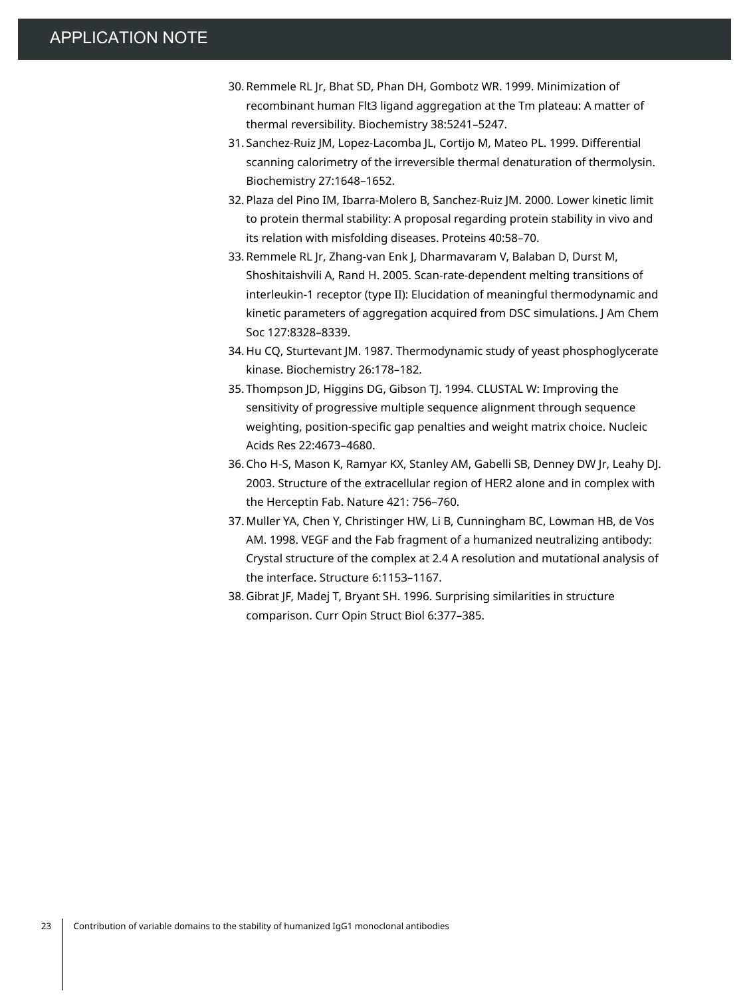- 30. Remmele RL Jr, Bhat SD, Phan DH, Gombotz WR. 1999. Minimization of recombinant human Flt3 ligand aggregation at the Tm plateau: A matter of thermal reversibility. Biochemistry 38:5241–5247.
- 31. Sanchez-Ruiz JM, Lopez-Lacomba JL, Cortijo M, Mateo PL. 1999. Differential scanning calorimetry of the irreversible thermal denaturation of thermolysin. Biochemistry 27:1648–1652.
- 32. Plaza del Pino IM, Ibarra-Molero B, Sanchez-Ruiz JM. 2000. Lower kinetic limit to protein thermal stability: A proposal regarding protein stability in vivo and its relation with misfolding diseases. Proteins 40:58–70.
- 33. Remmele RL Jr, Zhang-van Enk J, Dharmavaram V, Balaban D, Durst M, Shoshitaishvili A, Rand H. 2005. Scan-rate-dependent melting transitions of interleukin-1 receptor (type II): Elucidation of meaningful thermodynamic and kinetic parameters of aggregation acquired from DSC simulations. J Am Chem Soc 127:8328–8339.
- 34. Hu CQ, Sturtevant JM. 1987. Thermodynamic study of yeast phosphoglycerate kinase. Biochemistry 26:178–182.
- 35. Thompson JD, Higgins DG, Gibson TJ. 1994. CLUSTAL W: Improving the sensitivity of progressive multiple sequence alignment through sequence weighting, position-specific gap penalties and weight matrix choice. Nucleic Acids Res 22:4673–4680.
- 36. Cho H-S, Mason K, Ramyar KX, Stanley AM, Gabelli SB, Denney DW Jr, Leahy DJ. 2003. Structure of the extracellular region of HER2 alone and in complex with the Herceptin Fab. Nature 421: 756–760.
- 37. Muller YA, Chen Y, Christinger HW, Li B, Cunningham BC, Lowman HB, de Vos AM. 1998. VEGF and the Fab fragment of a humanized neutralizing antibody: Crystal structure of the complex at 2.4 A resolution and mutational analysis of the interface. Structure 6:1153–1167.
- 38. Gibrat JF, Madej T, Bryant SH. 1996. Surprising similarities in structure comparison. Curr Opin Struct Biol 6:377–385.